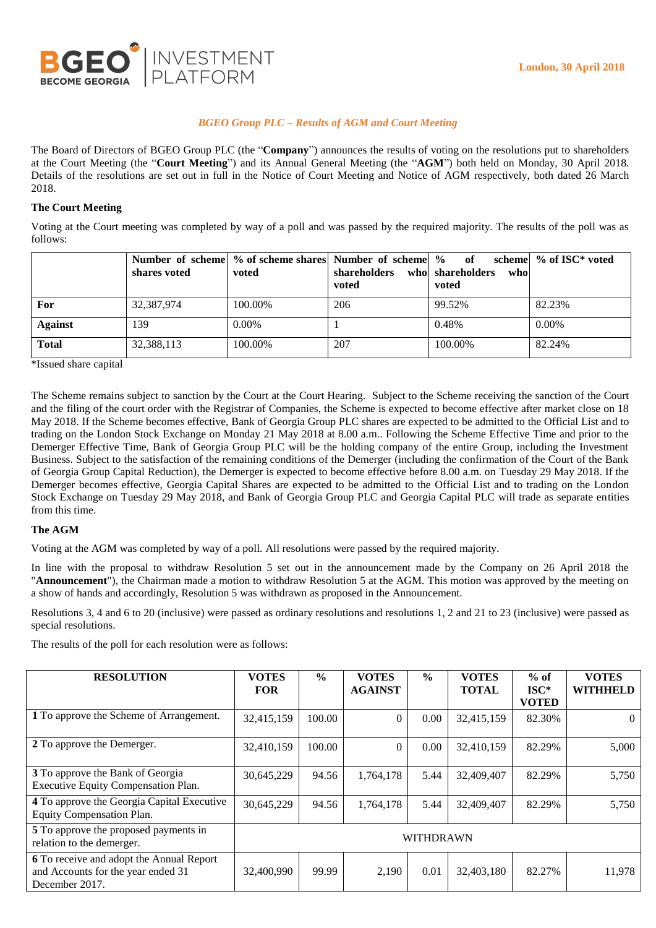

# *BGEO Group PLC – Results of AGM and Court Meeting*

The Board of Directors of BGEO Group PLC (the "**Company**") announces the results of voting on the resolutions put to shareholders at the Court Meeting (the "**Court Meeting**") and its Annual General Meeting (the "**AGM**") both held on Monday, 30 April 2018. Details of the resolutions are set out in full in the Notice of Court Meeting and Notice of AGM respectively, both dated 26 March 2018.

## **The Court Meeting**

Voting at the Court meeting was completed by way of a poll and was passed by the required majority. The results of the poll was as follows:

|                | shares voted | Number of scheme % of scheme shares Number of scheme %<br>voted | shareholders who shareholders<br>voted | - of<br>who<br>voted | scheme $\%$ of ISC* voted |
|----------------|--------------|-----------------------------------------------------------------|----------------------------------------|----------------------|---------------------------|
| For            | 32,387,974   | 100.00%                                                         | 206                                    | 99.52%               | 82.23%                    |
| <b>Against</b> | 139          | $0.00\%$                                                        |                                        | 0.48%                | $0.00\%$                  |
| <b>Total</b>   | 32,388,113   | 100.00%                                                         | 207                                    | 100.00%              | 82.24%                    |

\*Issued share capital

The Scheme remains subject to sanction by the Court at the Court Hearing. Subject to the Scheme receiving the sanction of the Court and the filing of the court order with the Registrar of Companies, the Scheme is expected to become effective after market close on 18 May 2018. If the Scheme becomes effective, Bank of Georgia Group PLC shares are expected to be admitted to the Official List and to trading on the London Stock Exchange on Monday 21 May 2018 at 8.00 a.m.. Following the Scheme Effective Time and prior to the Demerger Effective Time, Bank of Georgia Group PLC will be the holding company of the entire Group, including the Investment Business. Subject to the satisfaction of the remaining conditions of the Demerger (including the confirmation of the Court of the Bank of Georgia Group Capital Reduction), the Demerger is expected to become effective before 8.00 a.m. on Tuesday 29 May 2018. If the Demerger becomes effective, Georgia Capital Shares are expected to be admitted to the Official List and to trading on the London Stock Exchange on Tuesday 29 May 2018, and Bank of Georgia Group PLC and Georgia Capital PLC will trade as separate entities from this time.

### **The AGM**

Voting at the AGM was completed by way of a poll. All resolutions were passed by the required majority.

In line with the proposal to withdraw Resolution 5 set out in the announcement made by the Company on 26 April 2018 the "**Announcement**"), the Chairman made a motion to withdraw Resolution 5 at the AGM. This motion was approved by the meeting on a show of hands and accordingly, Resolution 5 was withdrawn as proposed in the Announcement.

Resolutions 3, 4 and 6 to 20 (inclusive) were passed as ordinary resolutions and resolutions 1, 2 and 21 to 23 (inclusive) were passed as special resolutions.

The results of the poll for each resolution were as follows:

| <b>RESOLUTION</b>                                                                                | <b>VOTES</b><br><b>FOR</b> | $\frac{0}{0}$ | <b>VOTES</b><br><b>AGAINST</b> | $\frac{0}{0}$ | <b>VOTES</b><br><b>TOTAL</b> | $%$ of<br>$ISC*$ | <b>VOTES</b><br><b>WITHHELD</b> |
|--------------------------------------------------------------------------------------------------|----------------------------|---------------|--------------------------------|---------------|------------------------------|------------------|---------------------------------|
|                                                                                                  |                            |               |                                |               |                              | <b>VOTED</b>     |                                 |
| 1 To approve the Scheme of Arrangement.                                                          | 32,415,159                 | 100.00        | $\Omega$                       | 0.00          | 32,415,159                   | 82.30%           | $\Omega$                        |
| 2 To approve the Demerger.                                                                       | 32,410,159                 | 100.00        | $\Omega$                       | 0.00          | 32,410,159                   | 82.29%           | 5,000                           |
| 3 To approve the Bank of Georgia<br>Executive Equity Compensation Plan.                          | 30,645,229                 | 94.56         | 1,764,178                      | 5.44          | 32,409,407                   | 82.29%           | 5,750                           |
| 4 To approve the Georgia Capital Executive<br>Equity Compensation Plan.                          | 30,645,229                 | 94.56         | 1,764,178                      | 5.44          | 32,409,407                   | 82.29%           | 5,750                           |
| 5 To approve the proposed payments in<br>relation to the demerger.                               | <b>WITHDRAWN</b>           |               |                                |               |                              |                  |                                 |
| 6 To receive and adopt the Annual Report<br>and Accounts for the year ended 31<br>December 2017. | 32,400,990                 | 99.99         | 2,190                          | 0.01          | 32,403,180                   | 82.27%           | 11,978                          |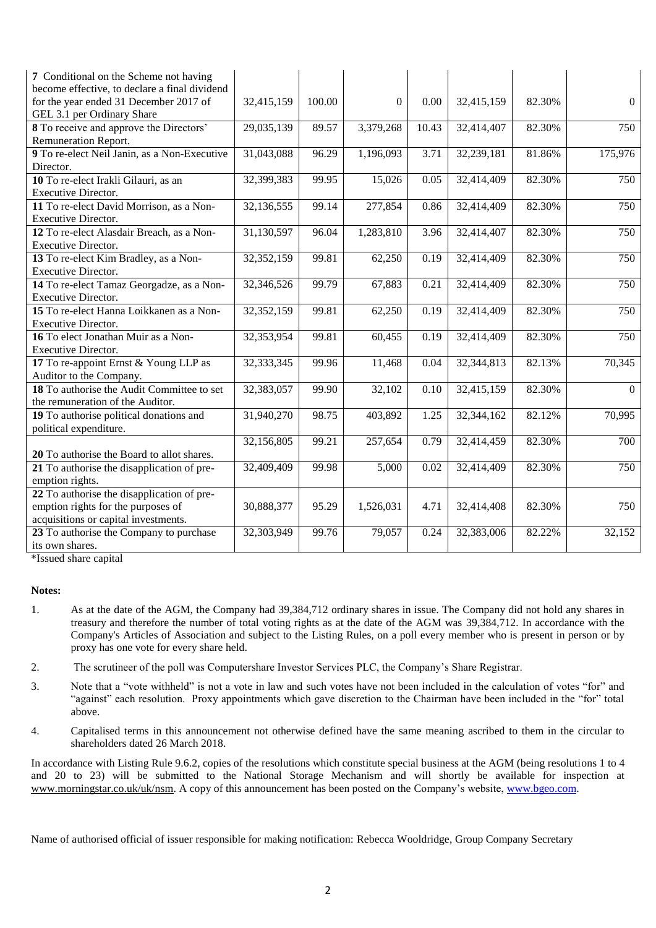| 7 Conditional on the Scheme not having<br>become effective, to declare a final dividend<br>for the year ended 31 December 2017 of<br>GEL 3.1 per Ordinary Share | 32,415,159   | 100.00 | $\Omega$  | 0.00  | 32,415,159 | 82.30% | $\Omega$       |
|-----------------------------------------------------------------------------------------------------------------------------------------------------------------|--------------|--------|-----------|-------|------------|--------|----------------|
| 8 To receive and approve the Directors'<br>Remuneration Report.                                                                                                 | 29,035,139   | 89.57  | 3,379,268 | 10.43 | 32,414,407 | 82.30% | 750            |
| 9 To re-elect Neil Janin, as a Non-Executive<br>Director.                                                                                                       | 31,043,088   | 96.29  | 1,196,093 | 3.71  | 32,239,181 | 81.86% | 175,976        |
| 10 To re-elect Irakli Gilauri, as an<br>Executive Director.                                                                                                     | 32,399,383   | 99.95  | 15,026    | 0.05  | 32,414,409 | 82.30% | 750            |
| 11 To re-elect David Morrison, as a Non-<br>Executive Director.                                                                                                 | 32,136,555   | 99.14  | 277,854   | 0.86  | 32,414,409 | 82.30% | 750            |
| 12 To re-elect Alasdair Breach, as a Non-<br>Executive Director.                                                                                                | 31,130,597   | 96.04  | 1,283,810 | 3.96  | 32,414,407 | 82.30% | 750            |
| 13 To re-elect Kim Bradley, as a Non-<br>Executive Director.                                                                                                    | 32,352,159   | 99.81  | 62,250    | 0.19  | 32,414,409 | 82.30% | 750            |
| 14 To re-elect Tamaz Georgadze, as a Non-<br>Executive Director.                                                                                                | 32,346,526   | 99.79  | 67,883    | 0.21  | 32,414,409 | 82.30% | 750            |
| 15 To re-elect Hanna Loikkanen as a Non-<br>Executive Director.                                                                                                 | 32,352,159   | 99.81  | 62,250    | 0.19  | 32,414,409 | 82.30% | 750            |
| 16 To elect Jonathan Muir as a Non-<br>Executive Director.                                                                                                      | 32,353,954   | 99.81  | 60,455    | 0.19  | 32,414,409 | 82.30% | 750            |
| 17 To re-appoint Ernst & Young LLP as<br>Auditor to the Company.                                                                                                | 32, 333, 345 | 99.96  | 11,468    | 0.04  | 32,344,813 | 82.13% | 70,345         |
| 18 To authorise the Audit Committee to set<br>the remuneration of the Auditor.                                                                                  | 32,383,057   | 99.90  | 32,102    | 0.10  | 32,415,159 | 82.30% | $\overline{0}$ |
| 19 To authorise political donations and<br>political expenditure.                                                                                               | 31,940,270   | 98.75  | 403,892   | 1.25  | 32,344,162 | 82.12% | 70,995         |
| 20 To authorise the Board to allot shares.                                                                                                                      | 32,156,805   | 99.21  | 257,654   | 0.79  | 32,414,459 | 82.30% | 700            |
| 21 To authorise the disapplication of pre-<br>emption rights.                                                                                                   | 32,409,409   | 99.98  | 5,000     | 0.02  | 32,414,409 | 82.30% | 750            |
| 22 To authorise the disapplication of pre-<br>emption rights for the purposes of<br>acquisitions or capital investments.                                        | 30,888,377   | 95.29  | 1,526,031 | 4.71  | 32,414,408 | 82.30% | 750            |
| 23 To authorise the Company to purchase<br>its own shares.                                                                                                      | 32,303,949   | 99.76  | 79,057    | 0.24  | 32,383,006 | 82.22% | 32,152         |

\*Issued share capital

#### **Notes:**

- 1. As at the date of the AGM, the Company had 39,384,712 ordinary shares in issue. The Company did not hold any shares in treasury and therefore the number of total voting rights as at the date of the AGM was 39,384,712. In accordance with the Company's Articles of Association and subject to the Listing Rules, on a poll every member who is present in person or by proxy has one vote for every share held.
- 2. The scrutineer of the poll was Computershare Investor Services PLC, the Company's Share Registrar.
- 3. Note that a "vote withheld" is not a vote in law and such votes have not been included in the calculation of votes "for" and "against" each resolution. Proxy appointments which gave discretion to the Chairman have been included in the "for" total above.
- 4. Capitalised terms in this announcement not otherwise defined have the same meaning ascribed to them in the circular to shareholders dated 26 March 2018.

In accordance with Listing Rule 9.6.2, copies of the resolutions which constitute special business at the AGM (being resolutions 1 to 4 and 20 to 23) will be submitted to the National Storage Mechanism and will shortly be available for inspection at [www.morningstar.co.uk/uk/nsm.](http://www.morningstar.co.uk/uk/nsm) A copy of this announcement has been posted on the Company's website, [www.bgeo.com.](http://www.bgeo.com/)

Name of authorised official of issuer responsible for making notification: Rebecca Wooldridge, Group Company Secretary